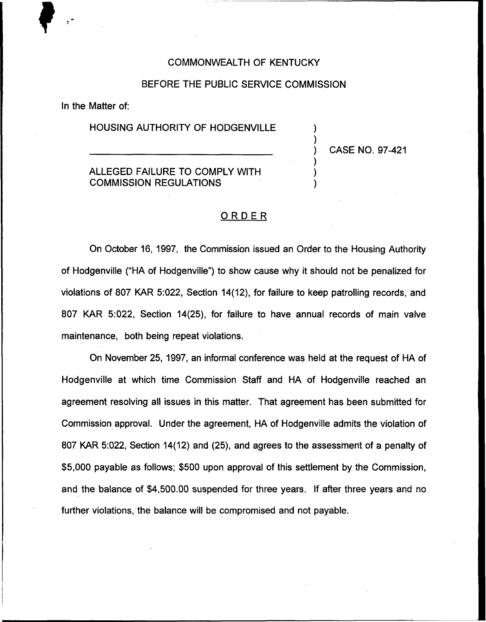#### COMMONWEALTH OF KENTUCKY

## BEFORE THE PUBLIC SERVICE COMMISSION

In the Matter of:

## HOUSING AUTHORITY OF HODGENVILLE

## ALLEGED FAILURE TO COMPLY WITH COMMISSION REGULATIONS

) CASE NO. 97-421

) )

) ) )

# ORDER.

On October 16, 1997, the Commission issued an Order to the Housing Authority of Hodgenville ("HA of Hodgenville") to show cause why it should not be penalized for violations of 807 KAR 5:022, Section 14(12), for failure to keep patrolling records, and 807 KAR 5:022, Section 14(25), for failure to have annual records of main valve maintenance, both being repeat violations.

On November 25, 1997, an informal conference was held at the request of HA of Hodgenville at which time Commission Staff and HA of Hodgenville reached an agreement resolving all issues in this matter. That agreement has been submitted for Commission approval. Under the agreement, HA of Hodgenville admits the violation of 807 KAR 5:022, Section 14(12) and (25), and agrees to the assessment of a penalty of \$5,000 payable as follows; \$500 upon approval of this settlement by the Commission, and the balance of \$4,500.00 suspended for three years. If after three years and no further violations, the balance will be compromised and not payable.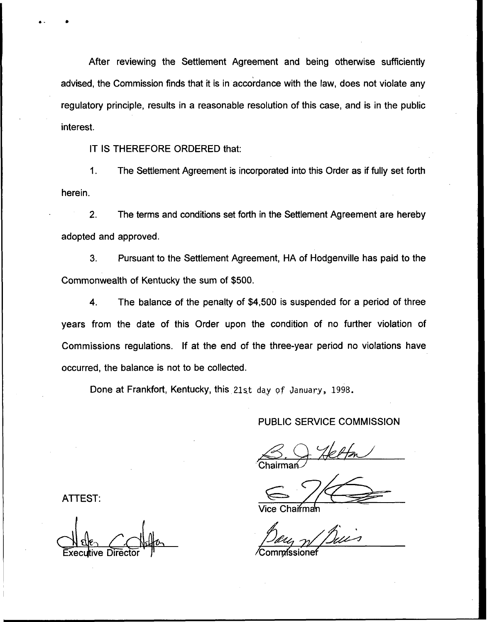After reviewing the Settlement Agreement and being otherwise sufficiently advised, the Commission finds that it is in accordance with the law, does not violate any regulatory principle, results in a reasonable resolution of this case, and is in the public interest.

IT IS THEREFORE ORDERED that:

1. The Settlement Agreement is incorporated into this Order as if fully set forth herein.

2. The terms and conditions set forth in the Settlement Agreement are hereby adopted and approved.

3. Pursuant to the Settlement Agreement, HA of Hodgenville has paid to the Commonwealth of Kentucky the sum of \$500.

4. The balance of the penalty of \$4,500 is suspended for a period of three years from the date of this Order upon the condition of no further violation of Commissions regulations. If at the end of the three-year period no violations have occurred, the balance is not to be collected.

Done at Frankfort, Kentucky, this 21st day of January, 1998.

#### PUBLIC SERVICE COMMISSION

Chairmaท<sub>์</sub>

Vice Chai<del>r</del>ma

ATTEST:

Director  $\mu$  /Commissionet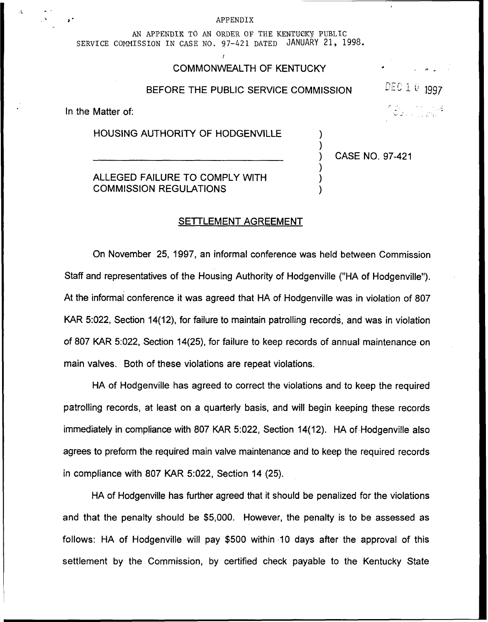#### APPENDIX

AN APPENDIK TO AN ORDER OF THE KENTUCKY PUBLIC sERvIcE coMNIssIoN IN cAsE No. 97-421 DATED JANUARY 21, 1998.

## COMMONWEALTH OF KENTUCKY

#### BEFORE THE PUBLIC SERVICE COMMISSION

In the Matter of:

HOUSING AUTHORITY OF HODGENVILLE

ALLEGED FAILURE TO COMPLY WITH COMMISSION REGULATIONS

) CASE NO. 97-421

) )

) ) ) IEU I 0 1997

#### SETTLEMENT AGREEMENT

On November 25, 1997, an informal conference was held between Commission Staff and representatives of the Housing Authority of Hodgenville ("HA of Hodgenville"). At the informal conference it was agreed that HA of Hodgenville was in violation of 807 KAR 5:022, Section 14(12), for failure to maintain patrolling records, and was in violation of 807 KAR 5:022, Section 14(25), for failure to keep records of annual maintenance on main valves. Both of these violations are repeat violations.

HA of Hodgenville has agreed to correct the violations and to keep the required patrolling records, at least on a quarterly basis, and will begin keeping these records immediately in compliance with 807 KAR 5:022, Section 14(12). HA of Hodgenville also agrees to preform the required main valve maintenance and to keep the required records in compliance with 807 KAR 5:022, Section 14 (25).

HA of Hodgenville has further agreed that it should be penalized for the violations and that the penalty should be \$5,000. However, the penalty is to be assessed as follows: HA of Hodgenville will pay \$500 within 10 days after the approval of this settlement by the Commission, by certified check payable to the Kentucky State